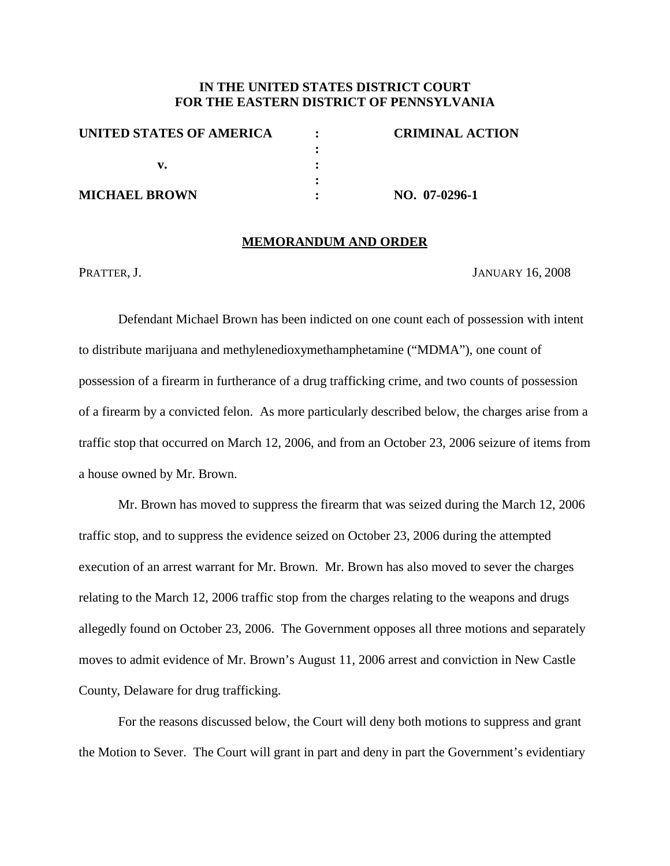## **IN THE UNITED STATES DISTRICT COURT FOR THE EASTERN DISTRICT OF PENNSYLVANIA**

| UNITED STATES OF AMERICA | <b>CRIMINAL ACTION</b> |
|--------------------------|------------------------|
|                          |                        |
|                          |                        |
|                          |                        |
| <b>MICHAEL BROWN</b>     | NO. 07-0296-1          |

#### **MEMORANDUM AND ORDER**

PRATTER, J. JANUARY 16, 2008

Defendant Michael Brown has been indicted on one count each of possession with intent to distribute marijuana and methylenedioxymethamphetamine ("MDMA"), one count of possession of a firearm in furtherance of a drug trafficking crime, and two counts of possession of a firearm by a convicted felon. As more particularly described below, the charges arise from a traffic stop that occurred on March 12, 2006, and from an October 23, 2006 seizure of items from a house owned by Mr. Brown.

Mr. Brown has moved to suppress the firearm that was seized during the March 12, 2006 traffic stop, and to suppress the evidence seized on October 23, 2006 during the attempted execution of an arrest warrant for Mr. Brown. Mr. Brown has also moved to sever the charges relating to the March 12, 2006 traffic stop from the charges relating to the weapons and drugs allegedly found on October 23, 2006. The Government opposes all three motions and separately moves to admit evidence of Mr. Brown's August 11, 2006 arrest and conviction in New Castle County, Delaware for drug trafficking.

For the reasons discussed below, the Court will deny both motions to suppress and grant the Motion to Sever. The Court will grant in part and deny in part the Government's evidentiary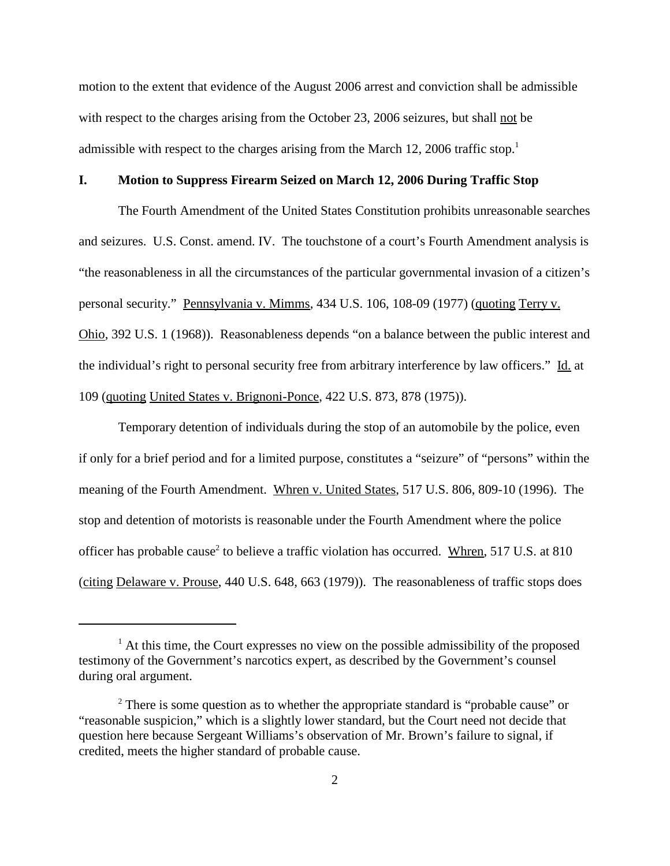motion to the extent that evidence of the August 2006 arrest and conviction shall be admissible with respect to the charges arising from the October 23, 2006 seizures, but shall not be admissible with respect to the charges arising from the March 12, 2006 traffic stop.<sup>1</sup>

## **I. Motion to Suppress Firearm Seized on March 12, 2006 During Traffic Stop**

The Fourth Amendment of the United States Constitution prohibits unreasonable searches and seizures. U.S. Const. amend. IV. The touchstone of a court's Fourth Amendment analysis is "the reasonableness in all the circumstances of the particular governmental invasion of a citizen's personal security." Pennsylvania v. Mimms, 434 U.S. 106, 108-09 (1977) (quoting Terry v. Ohio, 392 U.S. 1 (1968)). Reasonableness depends "on a balance between the public interest and the individual's right to personal security free from arbitrary interference by law officers." Id. at 109 (quoting United States v. Brignoni-Ponce, 422 U.S. 873, 878 (1975)).

Temporary detention of individuals during the stop of an automobile by the police, even if only for a brief period and for a limited purpose, constitutes a "seizure" of "persons" within the meaning of the Fourth Amendment. Whren v. United States, 517 U.S. 806, 809-10 (1996). The stop and detention of motorists is reasonable under the Fourth Amendment where the police officer has probable cause<sup>2</sup> to believe a traffic violation has occurred. Whren, 517 U.S. at 810 (citing Delaware v. Prouse, 440 U.S. 648, 663 (1979)). The reasonableness of traffic stops does

 $<sup>1</sup>$  At this time, the Court expresses no view on the possible admissibility of the proposed</sup> testimony of the Government's narcotics expert, as described by the Government's counsel during oral argument.

<sup>&</sup>lt;sup>2</sup> There is some question as to whether the appropriate standard is "probable cause" or "reasonable suspicion," which is a slightly lower standard, but the Court need not decide that question here because Sergeant Williams's observation of Mr. Brown's failure to signal, if credited, meets the higher standard of probable cause.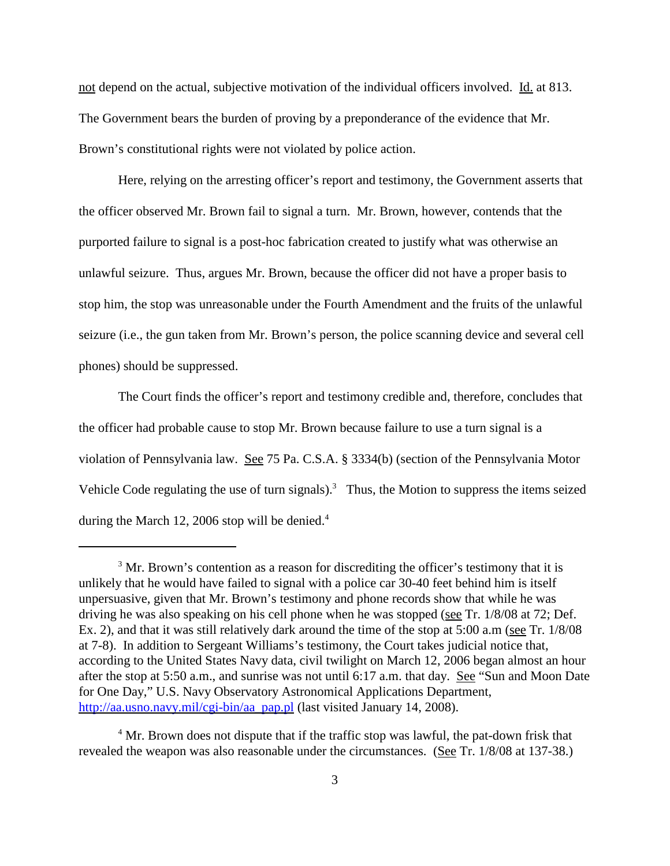not depend on the actual, subjective motivation of the individual officers involved. Id. at 813. The Government bears the burden of proving by a preponderance of the evidence that Mr. Brown's constitutional rights were not violated by police action.

Here, relying on the arresting officer's report and testimony, the Government asserts that the officer observed Mr. Brown fail to signal a turn. Mr. Brown, however, contends that the purported failure to signal is a post-hoc fabrication created to justify what was otherwise an unlawful seizure. Thus, argues Mr. Brown, because the officer did not have a proper basis to stop him, the stop was unreasonable under the Fourth Amendment and the fruits of the unlawful seizure (i.e., the gun taken from Mr. Brown's person, the police scanning device and several cell phones) should be suppressed.

The Court finds the officer's report and testimony credible and, therefore, concludes that the officer had probable cause to stop Mr. Brown because failure to use a turn signal is a violation of Pennsylvania law. See 75 Pa. C.S.A. § 3334(b) (section of the Pennsylvania Motor Vehicle Code regulating the use of turn signals).<sup>3</sup> Thus, the Motion to suppress the items seized during the March 12, 2006 stop will be denied.<sup>4</sup>

 $3$  Mr. Brown's contention as a reason for discrediting the officer's testimony that it is unlikely that he would have failed to signal with a police car 30-40 feet behind him is itself unpersuasive, given that Mr. Brown's testimony and phone records show that while he was driving he was also speaking on his cell phone when he was stopped (see Tr. 1/8/08 at 72; Def. Ex. 2), and that it was still relatively dark around the time of the stop at 5:00 a.m (see Tr. 1/8/08 at 7-8). In addition to Sergeant Williams's testimony, the Court takes judicial notice that, according to the United States Navy data, civil twilight on March 12, 2006 began almost an hour after the stop at 5:50 a.m., and sunrise was not until 6:17 a.m. that day. See "Sun and Moon Date for One Day," U.S. Navy Observatory Astronomical Applications Department, http://aa.usno.navy.mil/cgi-bin/aa\_pap.pl (last visited January 14, 2008).

<sup>&</sup>lt;sup>4</sup> Mr. Brown does not dispute that if the traffic stop was lawful, the pat-down frisk that revealed the weapon was also reasonable under the circumstances. (See Tr. 1/8/08 at 137-38.)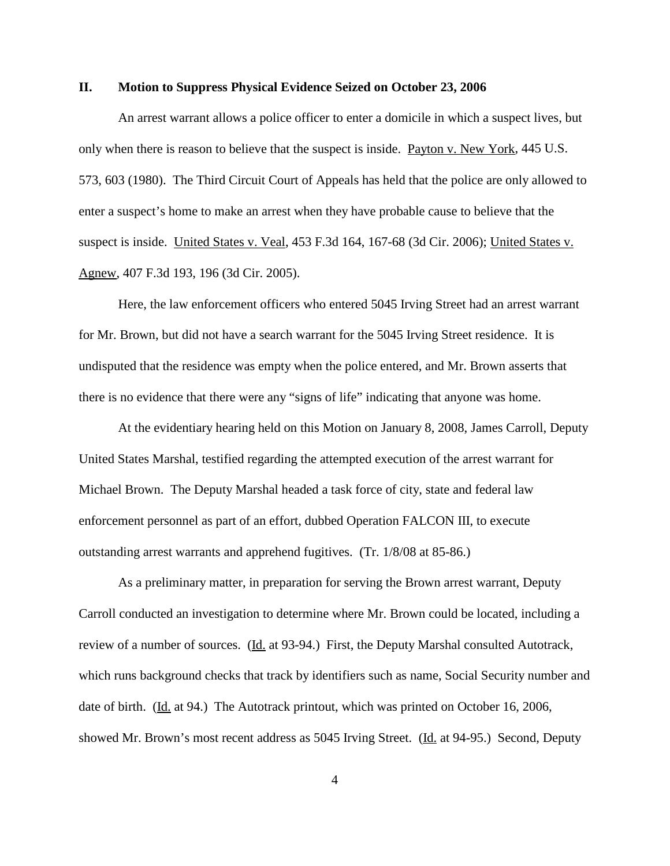#### **II. Motion to Suppress Physical Evidence Seized on October 23, 2006**

An arrest warrant allows a police officer to enter a domicile in which a suspect lives, but only when there is reason to believe that the suspect is inside. Payton v. New York, 445 U.S. 573, 603 (1980). The Third Circuit Court of Appeals has held that the police are only allowed to enter a suspect's home to make an arrest when they have probable cause to believe that the suspect is inside. United States v. Veal, 453 F.3d 164, 167-68 (3d Cir. 2006); United States v. Agnew, 407 F.3d 193, 196 (3d Cir. 2005).

Here, the law enforcement officers who entered 5045 Irving Street had an arrest warrant for Mr. Brown, but did not have a search warrant for the 5045 Irving Street residence. It is undisputed that the residence was empty when the police entered, and Mr. Brown asserts that there is no evidence that there were any "signs of life" indicating that anyone was home.

At the evidentiary hearing held on this Motion on January 8, 2008, James Carroll, Deputy United States Marshal, testified regarding the attempted execution of the arrest warrant for Michael Brown. The Deputy Marshal headed a task force of city, state and federal law enforcement personnel as part of an effort, dubbed Operation FALCON III, to execute outstanding arrest warrants and apprehend fugitives. (Tr. 1/8/08 at 85-86.)

As a preliminary matter, in preparation for serving the Brown arrest warrant, Deputy Carroll conducted an investigation to determine where Mr. Brown could be located, including a review of a number of sources. (Id. at 93-94.) First, the Deputy Marshal consulted Autotrack, which runs background checks that track by identifiers such as name, Social Security number and date of birth. (Id. at 94.) The Autotrack printout, which was printed on October 16, 2006, showed Mr. Brown's most recent address as 5045 Irving Street. (Id. at 94-95.) Second, Deputy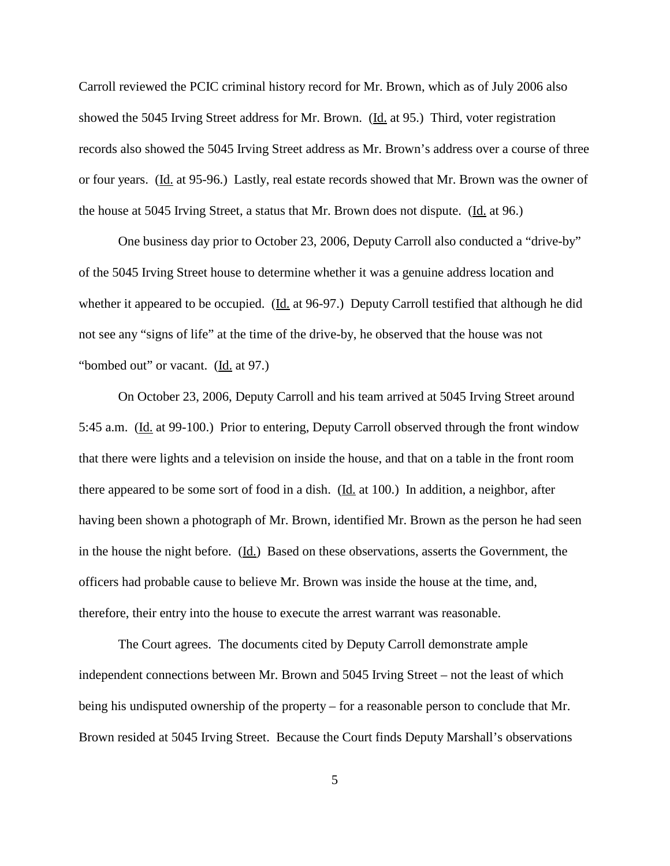Carroll reviewed the PCIC criminal history record for Mr. Brown, which as of July 2006 also showed the 5045 Irving Street address for Mr. Brown. (Id. at 95.) Third, voter registration records also showed the 5045 Irving Street address as Mr. Brown's address over a course of three or four years. (Id. at 95-96.) Lastly, real estate records showed that Mr. Brown was the owner of the house at 5045 Irving Street, a status that Mr. Brown does not dispute. (Id. at 96.)

One business day prior to October 23, 2006, Deputy Carroll also conducted a "drive-by" of the 5045 Irving Street house to determine whether it was a genuine address location and whether it appeared to be occupied. (Id. at 96-97.) Deputy Carroll testified that although he did not see any "signs of life" at the time of the drive-by, he observed that the house was not "bombed out" or vacant. (Id. at 97.)

On October 23, 2006, Deputy Carroll and his team arrived at 5045 Irving Street around 5:45 a.m. (Id. at 99-100.) Prior to entering, Deputy Carroll observed through the front window that there were lights and a television on inside the house, and that on a table in the front room there appeared to be some sort of food in a dish. (Id. at 100.) In addition, a neighbor, after having been shown a photograph of Mr. Brown, identified Mr. Brown as the person he had seen in the house the night before. (Id.) Based on these observations, asserts the Government, the officers had probable cause to believe Mr. Brown was inside the house at the time, and, therefore, their entry into the house to execute the arrest warrant was reasonable.

The Court agrees. The documents cited by Deputy Carroll demonstrate ample independent connections between Mr. Brown and 5045 Irving Street – not the least of which being his undisputed ownership of the property – for a reasonable person to conclude that Mr. Brown resided at 5045 Irving Street. Because the Court finds Deputy Marshall's observations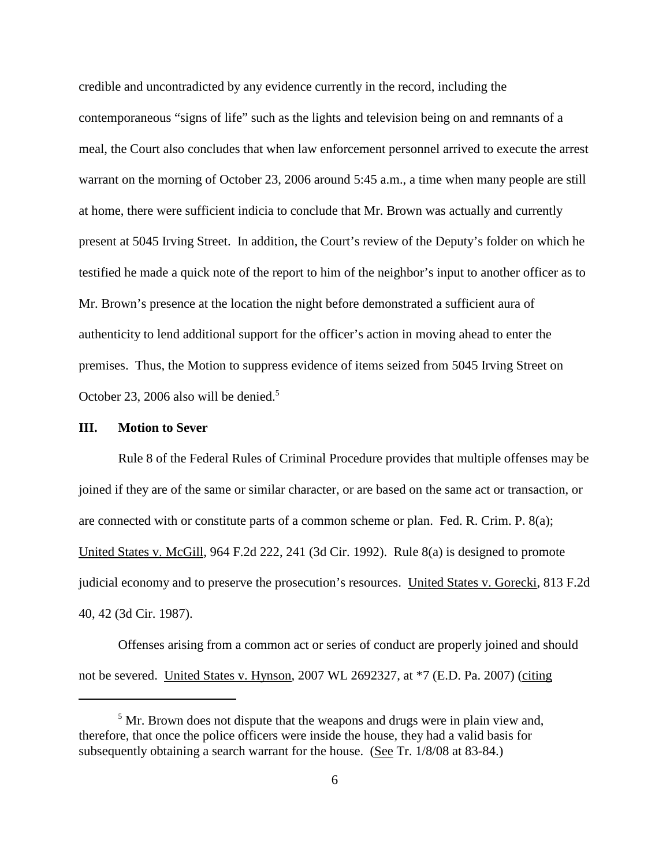credible and uncontradicted by any evidence currently in the record, including the contemporaneous "signs of life" such as the lights and television being on and remnants of a meal, the Court also concludes that when law enforcement personnel arrived to execute the arrest warrant on the morning of October 23, 2006 around 5:45 a.m., a time when many people are still at home, there were sufficient indicia to conclude that Mr. Brown was actually and currently present at 5045 Irving Street. In addition, the Court's review of the Deputy's folder on which he testified he made a quick note of the report to him of the neighbor's input to another officer as to Mr. Brown's presence at the location the night before demonstrated a sufficient aura of authenticity to lend additional support for the officer's action in moving ahead to enter the premises. Thus, the Motion to suppress evidence of items seized from 5045 Irving Street on October 23, 2006 also will be denied.<sup>5</sup>

#### **III. Motion to Sever**

Rule 8 of the Federal Rules of Criminal Procedure provides that multiple offenses may be joined if they are of the same or similar character, or are based on the same act or transaction, or are connected with or constitute parts of a common scheme or plan. Fed. R. Crim. P. 8(a); United States v. McGill, 964 F.2d 222, 241 (3d Cir. 1992). Rule 8(a) is designed to promote judicial economy and to preserve the prosecution's resources. United States v. Gorecki, 813 F.2d 40, 42 (3d Cir. 1987).

Offenses arising from a common act or series of conduct are properly joined and should not be severed. United States v. Hynson, 2007 WL 2692327, at \*7 (E.D. Pa. 2007) (citing

 $<sup>5</sup>$  Mr. Brown does not dispute that the weapons and drugs were in plain view and,</sup> therefore, that once the police officers were inside the house, they had a valid basis for subsequently obtaining a search warrant for the house. (See Tr. 1/8/08 at 83-84.)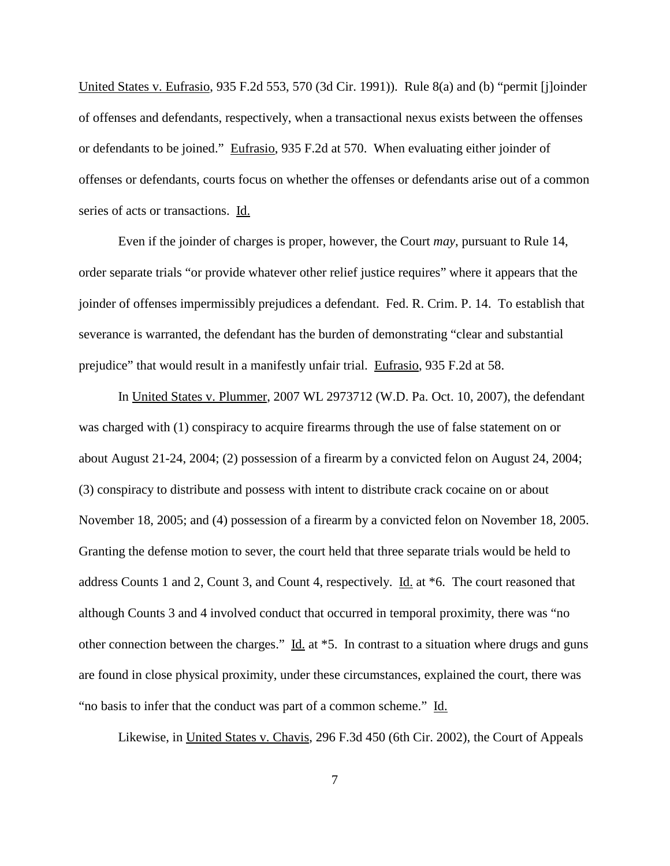United States v. Eufrasio, 935 F.2d 553, 570 (3d Cir. 1991)). Rule 8(a) and (b) "permit [j]oinder of offenses and defendants, respectively, when a transactional nexus exists between the offenses or defendants to be joined." Eufrasio, 935 F.2d at 570. When evaluating either joinder of offenses or defendants, courts focus on whether the offenses or defendants arise out of a common series of acts or transactions. Id.

Even if the joinder of charges is proper, however, the Court *may*, pursuant to Rule 14, order separate trials "or provide whatever other relief justice requires" where it appears that the joinder of offenses impermissibly prejudices a defendant. Fed. R. Crim. P. 14. To establish that severance is warranted, the defendant has the burden of demonstrating "clear and substantial prejudice" that would result in a manifestly unfair trial. Eufrasio, 935 F.2d at 58.

In United States v. Plummer, 2007 WL 2973712 (W.D. Pa. Oct. 10, 2007), the defendant was charged with (1) conspiracy to acquire firearms through the use of false statement on or about August 21-24, 2004; (2) possession of a firearm by a convicted felon on August 24, 2004; (3) conspiracy to distribute and possess with intent to distribute crack cocaine on or about November 18, 2005; and (4) possession of a firearm by a convicted felon on November 18, 2005. Granting the defense motion to sever, the court held that three separate trials would be held to address Counts 1 and 2, Count 3, and Count 4, respectively. Id. at \*6. The court reasoned that although Counts 3 and 4 involved conduct that occurred in temporal proximity, there was "no other connection between the charges." Id. at \*5. In contrast to a situation where drugs and guns are found in close physical proximity, under these circumstances, explained the court, there was "no basis to infer that the conduct was part of a common scheme." Id.

Likewise, in United States v. Chavis, 296 F.3d 450 (6th Cir. 2002), the Court of Appeals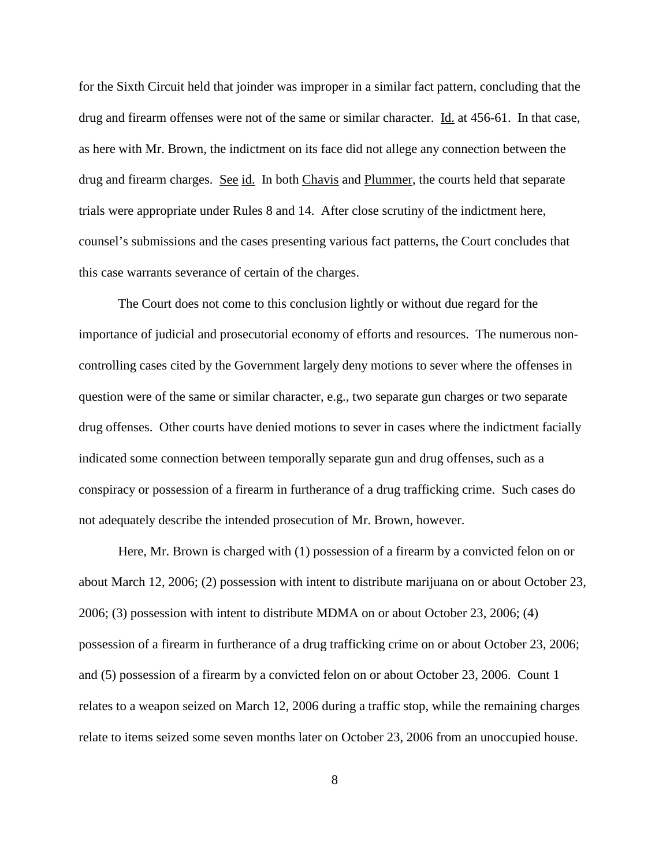for the Sixth Circuit held that joinder was improper in a similar fact pattern, concluding that the drug and firearm offenses were not of the same or similar character. Id. at 456-61. In that case, as here with Mr. Brown, the indictment on its face did not allege any connection between the drug and firearm charges. See id. In both Chavis and Plummer, the courts held that separate trials were appropriate under Rules 8 and 14. After close scrutiny of the indictment here, counsel's submissions and the cases presenting various fact patterns, the Court concludes that this case warrants severance of certain of the charges.

The Court does not come to this conclusion lightly or without due regard for the importance of judicial and prosecutorial economy of efforts and resources. The numerous noncontrolling cases cited by the Government largely deny motions to sever where the offenses in question were of the same or similar character, e.g., two separate gun charges or two separate drug offenses. Other courts have denied motions to sever in cases where the indictment facially indicated some connection between temporally separate gun and drug offenses, such as a conspiracy or possession of a firearm in furtherance of a drug trafficking crime. Such cases do not adequately describe the intended prosecution of Mr. Brown, however.

Here, Mr. Brown is charged with (1) possession of a firearm by a convicted felon on or about March 12, 2006; (2) possession with intent to distribute marijuana on or about October 23, 2006; (3) possession with intent to distribute MDMA on or about October 23, 2006; (4) possession of a firearm in furtherance of a drug trafficking crime on or about October 23, 2006; and (5) possession of a firearm by a convicted felon on or about October 23, 2006. Count 1 relates to a weapon seized on March 12, 2006 during a traffic stop, while the remaining charges relate to items seized some seven months later on October 23, 2006 from an unoccupied house.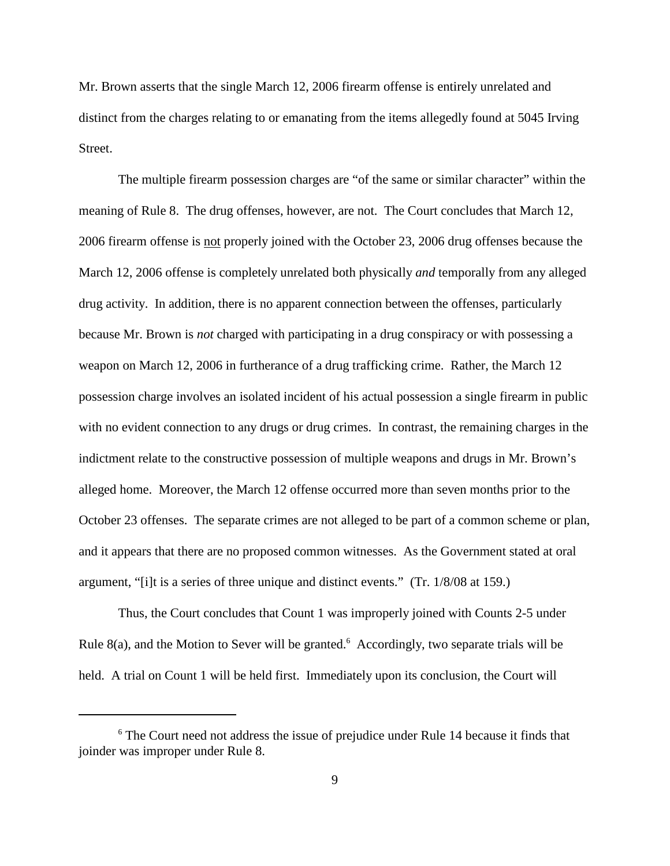Mr. Brown asserts that the single March 12, 2006 firearm offense is entirely unrelated and distinct from the charges relating to or emanating from the items allegedly found at 5045 Irving Street.

The multiple firearm possession charges are "of the same or similar character" within the meaning of Rule 8. The drug offenses, however, are not. The Court concludes that March 12, 2006 firearm offense is not properly joined with the October 23, 2006 drug offenses because the March 12, 2006 offense is completely unrelated both physically *and* temporally from any alleged drug activity. In addition, there is no apparent connection between the offenses, particularly because Mr. Brown is *not* charged with participating in a drug conspiracy or with possessing a weapon on March 12, 2006 in furtherance of a drug trafficking crime. Rather, the March 12 possession charge involves an isolated incident of his actual possession a single firearm in public with no evident connection to any drugs or drug crimes. In contrast, the remaining charges in the indictment relate to the constructive possession of multiple weapons and drugs in Mr. Brown's alleged home. Moreover, the March 12 offense occurred more than seven months prior to the October 23 offenses. The separate crimes are not alleged to be part of a common scheme or plan, and it appears that there are no proposed common witnesses. As the Government stated at oral argument, "[i]t is a series of three unique and distinct events." (Tr. 1/8/08 at 159.)

Thus, the Court concludes that Count 1 was improperly joined with Counts 2-5 under Rule 8(a), and the Motion to Sever will be granted.<sup>6</sup> Accordingly, two separate trials will be held. A trial on Count 1 will be held first. Immediately upon its conclusion, the Court will

<sup>&</sup>lt;sup>6</sup> The Court need not address the issue of prejudice under Rule 14 because it finds that joinder was improper under Rule 8.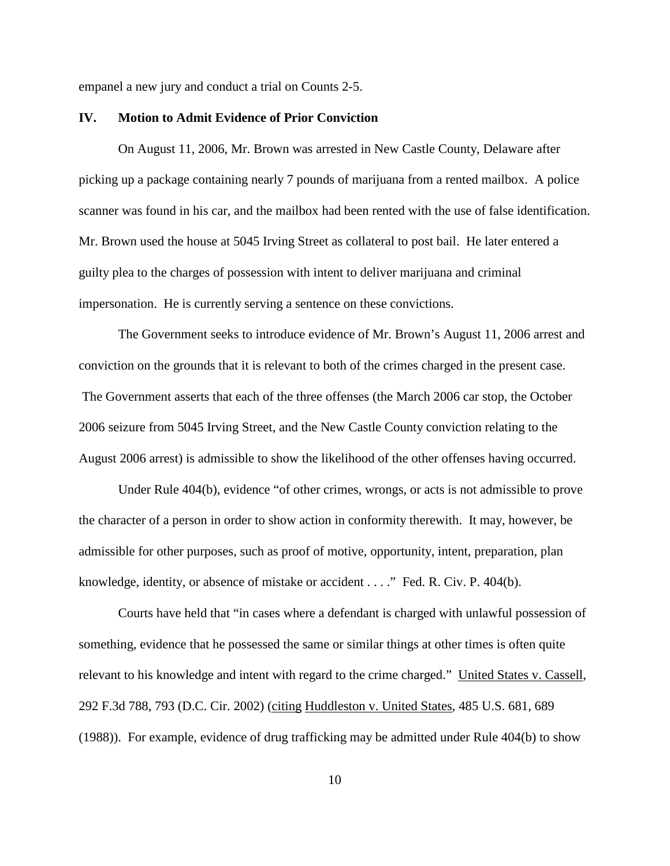empanel a new jury and conduct a trial on Counts 2-5.

#### **IV. Motion to Admit Evidence of Prior Conviction**

On August 11, 2006, Mr. Brown was arrested in New Castle County, Delaware after picking up a package containing nearly 7 pounds of marijuana from a rented mailbox. A police scanner was found in his car, and the mailbox had been rented with the use of false identification. Mr. Brown used the house at 5045 Irving Street as collateral to post bail. He later entered a guilty plea to the charges of possession with intent to deliver marijuana and criminal impersonation. He is currently serving a sentence on these convictions.

The Government seeks to introduce evidence of Mr. Brown's August 11, 2006 arrest and conviction on the grounds that it is relevant to both of the crimes charged in the present case. The Government asserts that each of the three offenses (the March 2006 car stop, the October 2006 seizure from 5045 Irving Street, and the New Castle County conviction relating to the August 2006 arrest) is admissible to show the likelihood of the other offenses having occurred.

Under Rule 404(b), evidence "of other crimes, wrongs, or acts is not admissible to prove the character of a person in order to show action in conformity therewith. It may, however, be admissible for other purposes, such as proof of motive, opportunity, intent, preparation, plan knowledge, identity, or absence of mistake or accident . . . ." Fed. R. Civ. P. 404(b).

Courts have held that "in cases where a defendant is charged with unlawful possession of something, evidence that he possessed the same or similar things at other times is often quite relevant to his knowledge and intent with regard to the crime charged." United States v. Cassell, 292 F.3d 788, 793 (D.C. Cir. 2002) (citing Huddleston v. United States, 485 U.S. 681, 689 (1988)). For example, evidence of drug trafficking may be admitted under Rule 404(b) to show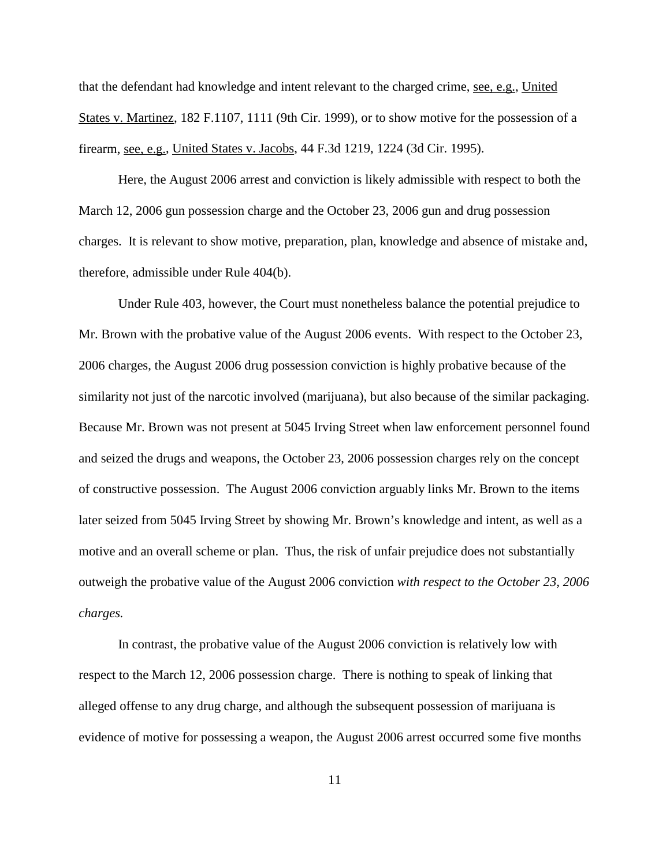that the defendant had knowledge and intent relevant to the charged crime, see, e.g., United States v. Martinez, 182 F.1107, 1111 (9th Cir. 1999), or to show motive for the possession of a firearm, see, e.g., United States v. Jacobs, 44 F.3d 1219, 1224 (3d Cir. 1995).

Here, the August 2006 arrest and conviction is likely admissible with respect to both the March 12, 2006 gun possession charge and the October 23, 2006 gun and drug possession charges. It is relevant to show motive, preparation, plan, knowledge and absence of mistake and, therefore, admissible under Rule 404(b).

Under Rule 403, however, the Court must nonetheless balance the potential prejudice to Mr. Brown with the probative value of the August 2006 events. With respect to the October 23, 2006 charges, the August 2006 drug possession conviction is highly probative because of the similarity not just of the narcotic involved (marijuana), but also because of the similar packaging. Because Mr. Brown was not present at 5045 Irving Street when law enforcement personnel found and seized the drugs and weapons, the October 23, 2006 possession charges rely on the concept of constructive possession. The August 2006 conviction arguably links Mr. Brown to the items later seized from 5045 Irving Street by showing Mr. Brown's knowledge and intent, as well as a motive and an overall scheme or plan. Thus, the risk of unfair prejudice does not substantially outweigh the probative value of the August 2006 conviction *with respect to the October 23, 2006 charges.*

In contrast, the probative value of the August 2006 conviction is relatively low with respect to the March 12, 2006 possession charge. There is nothing to speak of linking that alleged offense to any drug charge, and although the subsequent possession of marijuana is evidence of motive for possessing a weapon, the August 2006 arrest occurred some five months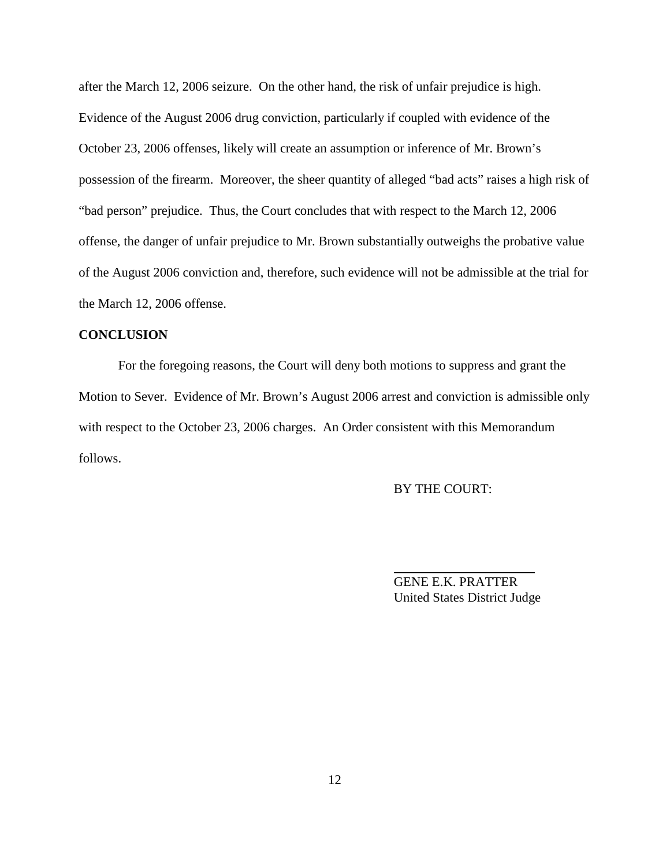after the March 12, 2006 seizure. On the other hand, the risk of unfair prejudice is high. Evidence of the August 2006 drug conviction, particularly if coupled with evidence of the October 23, 2006 offenses, likely will create an assumption or inference of Mr. Brown's possession of the firearm. Moreover, the sheer quantity of alleged "bad acts" raises a high risk of "bad person" prejudice. Thus, the Court concludes that with respect to the March 12, 2006 offense, the danger of unfair prejudice to Mr. Brown substantially outweighs the probative value of the August 2006 conviction and, therefore, such evidence will not be admissible at the trial for the March 12, 2006 offense.

### **CONCLUSION**

For the foregoing reasons, the Court will deny both motions to suppress and grant the Motion to Sever. Evidence of Mr. Brown's August 2006 arrest and conviction is admissible only with respect to the October 23, 2006 charges. An Order consistent with this Memorandum follows.

## BY THE COURT:

GENE E.K. PRATTER United States District Judge